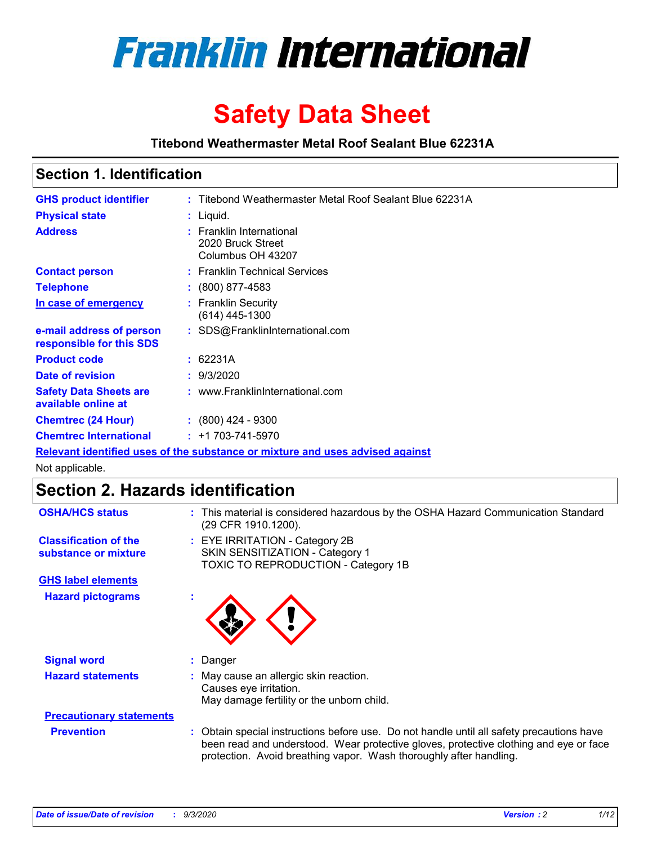

# **Safety Data Sheet**

**Titebond Weathermaster Metal Roof Sealant Blue 62231A**

### **Section 1. Identification**

| <b>GHS product identifier</b>                                                 |  | : Titebond Weathermaster Metal Roof Sealant Blue 62231A            |  |  |
|-------------------------------------------------------------------------------|--|--------------------------------------------------------------------|--|--|
| <b>Physical state</b>                                                         |  | : Liquid.                                                          |  |  |
| <b>Address</b>                                                                |  | : Franklin International<br>2020 Bruck Street<br>Columbus OH 43207 |  |  |
| <b>Contact person</b>                                                         |  | : Franklin Technical Services                                      |  |  |
| <b>Telephone</b>                                                              |  | $\colon$ (800) 877-4583                                            |  |  |
| In case of emergency                                                          |  | : Franklin Security<br>(614) 445-1300                              |  |  |
| e-mail address of person<br>responsible for this SDS                          |  | : SDS@FranklinInternational.com                                    |  |  |
| <b>Product code</b>                                                           |  | : 62231A                                                           |  |  |
| Date of revision                                                              |  | : 9/3/2020                                                         |  |  |
| <b>Safety Data Sheets are</b><br>available online at                          |  | : www.FranklinInternational.com                                    |  |  |
| <b>Chemtrec (24 Hour)</b>                                                     |  | $: (800)$ 424 - 9300                                               |  |  |
| <b>Chemtrec International</b>                                                 |  | $: +1703 - 741 - 5970$                                             |  |  |
| Relevant identified uses of the substance or mixture and uses advised against |  |                                                                    |  |  |

Not applicable.

## **Section 2. Hazards identification**

| <b>OSHA/HCS status</b>                               |    | : This material is considered hazardous by the OSHA Hazard Communication Standard<br>(29 CFR 1910.1200).                                                                                                                                                 |
|------------------------------------------------------|----|----------------------------------------------------------------------------------------------------------------------------------------------------------------------------------------------------------------------------------------------------------|
| <b>Classification of the</b><br>substance or mixture |    | : EYE IRRITATION - Category 2B<br>SKIN SENSITIZATION - Category 1<br>TOXIC TO REPRODUCTION - Category 1B                                                                                                                                                 |
| <b>GHS label elements</b>                            |    |                                                                                                                                                                                                                                                          |
| <b>Hazard pictograms</b>                             | ×. |                                                                                                                                                                                                                                                          |
| <b>Signal word</b>                                   | ÷. | Danger                                                                                                                                                                                                                                                   |
| <b>Hazard statements</b>                             |    | May cause an allergic skin reaction.<br>Causes eye irritation.<br>May damage fertility or the unborn child.                                                                                                                                              |
| <b>Precautionary statements</b>                      |    |                                                                                                                                                                                                                                                          |
| <b>Prevention</b>                                    |    | : Obtain special instructions before use. Do not handle until all safety precautions have<br>been read and understood. Wear protective gloves, protective clothing and eye or face<br>protection. Avoid breathing vapor. Wash thoroughly after handling. |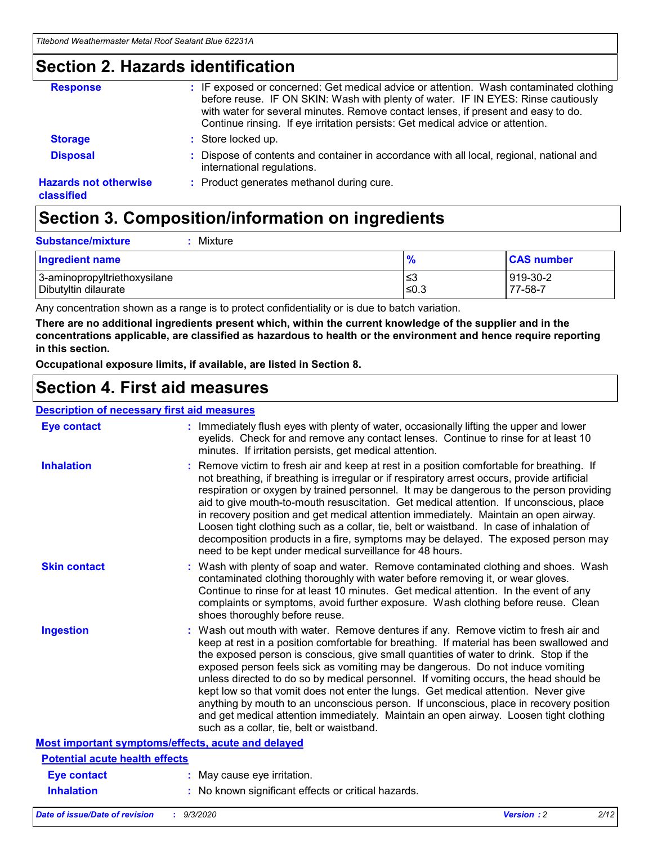### **Section 2. Hazards identification**

| <b>Response</b>                            | : IF exposed or concerned: Get medical advice or attention. Wash contaminated clothing<br>before reuse. IF ON SKIN: Wash with plenty of water. IF IN EYES: Rinse cautiously<br>with water for several minutes. Remove contact lenses, if present and easy to do.<br>Continue rinsing. If eye irritation persists: Get medical advice or attention. |
|--------------------------------------------|----------------------------------------------------------------------------------------------------------------------------------------------------------------------------------------------------------------------------------------------------------------------------------------------------------------------------------------------------|
| <b>Storage</b>                             | : Store locked up.                                                                                                                                                                                                                                                                                                                                 |
| <b>Disposal</b>                            | : Dispose of contents and container in accordance with all local, regional, national and<br>international regulations.                                                                                                                                                                                                                             |
| <b>Hazards not otherwise</b><br>classified | : Product generates methanol during cure.                                                                                                                                                                                                                                                                                                          |

## **Section 3. Composition/information on ingredients**

| <b>Substance/mixture</b> | Mixture |
|--------------------------|---------|
|                          |         |

| <b>Ingredient name</b>       | $\frac{9}{6}$ | <b>CAS number</b> |
|------------------------------|---------------|-------------------|
| 3-aminopropyltriethoxysilane | ≤3            | 919-30-2          |
| Dibutyltin dilaurate         | ∣≤0.3         | 77-58-7           |

Any concentration shown as a range is to protect confidentiality or is due to batch variation.

**There are no additional ingredients present which, within the current knowledge of the supplier and in the concentrations applicable, are classified as hazardous to health or the environment and hence require reporting in this section.**

**Occupational exposure limits, if available, are listed in Section 8.**

## **Section 4. First aid measures**

| <b>Description of necessary first aid measures</b> |                                                                                                                                                                                                                                                                                                                                                                                                                                                                                                                                                                                                                                                                                                                                                                           |
|----------------------------------------------------|---------------------------------------------------------------------------------------------------------------------------------------------------------------------------------------------------------------------------------------------------------------------------------------------------------------------------------------------------------------------------------------------------------------------------------------------------------------------------------------------------------------------------------------------------------------------------------------------------------------------------------------------------------------------------------------------------------------------------------------------------------------------------|
| <b>Eye contact</b>                                 | : Immediately flush eyes with plenty of water, occasionally lifting the upper and lower<br>eyelids. Check for and remove any contact lenses. Continue to rinse for at least 10<br>minutes. If irritation persists, get medical attention.                                                                                                                                                                                                                                                                                                                                                                                                                                                                                                                                 |
| <b>Inhalation</b>                                  | : Remove victim to fresh air and keep at rest in a position comfortable for breathing. If<br>not breathing, if breathing is irregular or if respiratory arrest occurs, provide artificial<br>respiration or oxygen by trained personnel. It may be dangerous to the person providing<br>aid to give mouth-to-mouth resuscitation. Get medical attention. If unconscious, place<br>in recovery position and get medical attention immediately. Maintain an open airway.<br>Loosen tight clothing such as a collar, tie, belt or waistband. In case of inhalation of<br>decomposition products in a fire, symptoms may be delayed. The exposed person may<br>need to be kept under medical surveillance for 48 hours.                                                       |
| <b>Skin contact</b>                                | : Wash with plenty of soap and water. Remove contaminated clothing and shoes. Wash<br>contaminated clothing thoroughly with water before removing it, or wear gloves.<br>Continue to rinse for at least 10 minutes. Get medical attention. In the event of any<br>complaints or symptoms, avoid further exposure. Wash clothing before reuse. Clean<br>shoes thoroughly before reuse.                                                                                                                                                                                                                                                                                                                                                                                     |
| <b>Ingestion</b>                                   | : Wash out mouth with water. Remove dentures if any. Remove victim to fresh air and<br>keep at rest in a position comfortable for breathing. If material has been swallowed and<br>the exposed person is conscious, give small quantities of water to drink. Stop if the<br>exposed person feels sick as vomiting may be dangerous. Do not induce vomiting<br>unless directed to do so by medical personnel. If vomiting occurs, the head should be<br>kept low so that vomit does not enter the lungs. Get medical attention. Never give<br>anything by mouth to an unconscious person. If unconscious, place in recovery position<br>and get medical attention immediately. Maintain an open airway. Loosen tight clothing<br>such as a collar, tie, belt or waistband. |
| Most important symptoms/effects, acute and delayed |                                                                                                                                                                                                                                                                                                                                                                                                                                                                                                                                                                                                                                                                                                                                                                           |
| <b>Potential acute health effects</b>              |                                                                                                                                                                                                                                                                                                                                                                                                                                                                                                                                                                                                                                                                                                                                                                           |
| Eye contact                                        | : May cause eye irritation.                                                                                                                                                                                                                                                                                                                                                                                                                                                                                                                                                                                                                                                                                                                                               |
| <b>Inhalation</b>                                  | : No known significant effects or critical hazards.                                                                                                                                                                                                                                                                                                                                                                                                                                                                                                                                                                                                                                                                                                                       |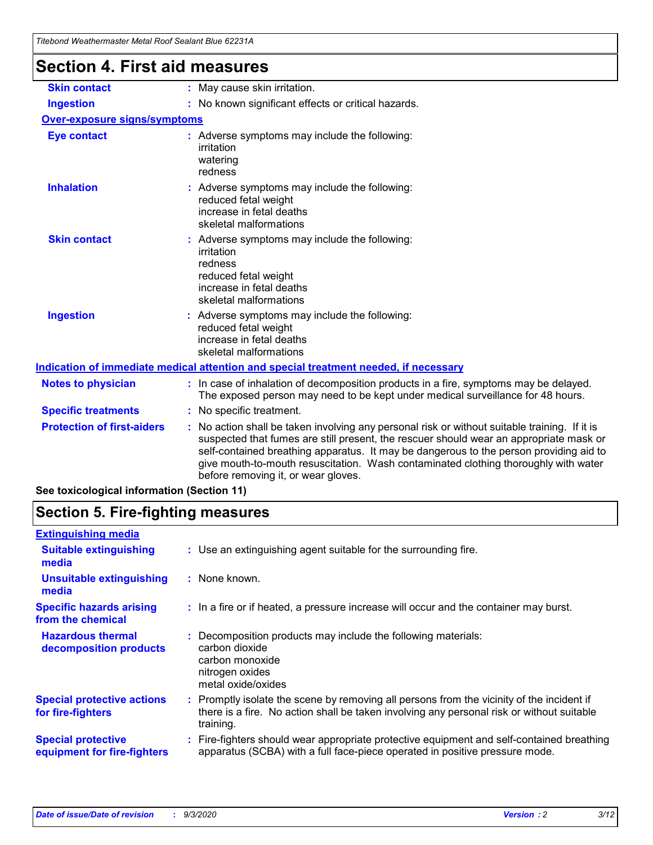| i itebona weatnermaster Metal Roof Sealant Blue 62231A |                                                                                                                                                                                                                                                                                                                                                                                                                 |  |  |  |
|--------------------------------------------------------|-----------------------------------------------------------------------------------------------------------------------------------------------------------------------------------------------------------------------------------------------------------------------------------------------------------------------------------------------------------------------------------------------------------------|--|--|--|
| <b>Section 4. First aid measures</b>                   |                                                                                                                                                                                                                                                                                                                                                                                                                 |  |  |  |
| <b>Skin contact</b>                                    | : May cause skin irritation.                                                                                                                                                                                                                                                                                                                                                                                    |  |  |  |
| <b>Ingestion</b>                                       | : No known significant effects or critical hazards.                                                                                                                                                                                                                                                                                                                                                             |  |  |  |
| <b>Over-exposure signs/symptoms</b>                    |                                                                                                                                                                                                                                                                                                                                                                                                                 |  |  |  |
| <b>Eye contact</b>                                     | : Adverse symptoms may include the following:<br>irritation<br>watering<br>redness                                                                                                                                                                                                                                                                                                                              |  |  |  |
| <b>Inhalation</b>                                      | : Adverse symptoms may include the following:<br>reduced fetal weight<br>increase in fetal deaths<br>skeletal malformations                                                                                                                                                                                                                                                                                     |  |  |  |
| <b>Skin contact</b>                                    | Adverse symptoms may include the following:<br>irritation<br>redness<br>reduced fetal weight<br>increase in fetal deaths<br>skeletal malformations                                                                                                                                                                                                                                                              |  |  |  |
| <b>Ingestion</b>                                       | : Adverse symptoms may include the following:<br>reduced fetal weight<br>increase in fetal deaths<br>skeletal malformations                                                                                                                                                                                                                                                                                     |  |  |  |
|                                                        | Indication of immediate medical attention and special treatment needed, if necessary                                                                                                                                                                                                                                                                                                                            |  |  |  |
| <b>Notes to physician</b>                              | : In case of inhalation of decomposition products in a fire, symptoms may be delayed.<br>The exposed person may need to be kept under medical surveillance for 48 hours.                                                                                                                                                                                                                                        |  |  |  |
| <b>Specific treatments</b>                             | : No specific treatment.                                                                                                                                                                                                                                                                                                                                                                                        |  |  |  |
| <b>Protection of first-aiders</b>                      | : No action shall be taken involving any personal risk or without suitable training. If it is<br>suspected that fumes are still present, the rescuer should wear an appropriate mask or<br>self-contained breathing apparatus. It may be dangerous to the person providing aid to<br>give mouth-to-mouth resuscitation. Wash contaminated clothing thoroughly with water<br>before removing it, or wear gloves. |  |  |  |

**See toxicological information (Section 11)**

## **Section 5. Fire-fighting measures**

| <b>Extinguishing media</b>                               |                                                                                                                                                                                                     |
|----------------------------------------------------------|-----------------------------------------------------------------------------------------------------------------------------------------------------------------------------------------------------|
| <b>Suitable extinguishing</b><br>media                   | : Use an extinguishing agent suitable for the surrounding fire.                                                                                                                                     |
| <b>Unsuitable extinguishing</b><br>media                 | : None known.                                                                                                                                                                                       |
| <b>Specific hazards arising</b><br>from the chemical     | : In a fire or if heated, a pressure increase will occur and the container may burst.                                                                                                               |
| <b>Hazardous thermal</b><br>decomposition products       | Decomposition products may include the following materials:<br>carbon dioxide<br>carbon monoxide<br>nitrogen oxides<br>metal oxide/oxides                                                           |
| <b>Special protective actions</b><br>for fire-fighters   | : Promptly isolate the scene by removing all persons from the vicinity of the incident if<br>there is a fire. No action shall be taken involving any personal risk or without suitable<br>training. |
| <b>Special protective</b><br>equipment for fire-fighters | : Fire-fighters should wear appropriate protective equipment and self-contained breathing<br>apparatus (SCBA) with a full face-piece operated in positive pressure mode.                            |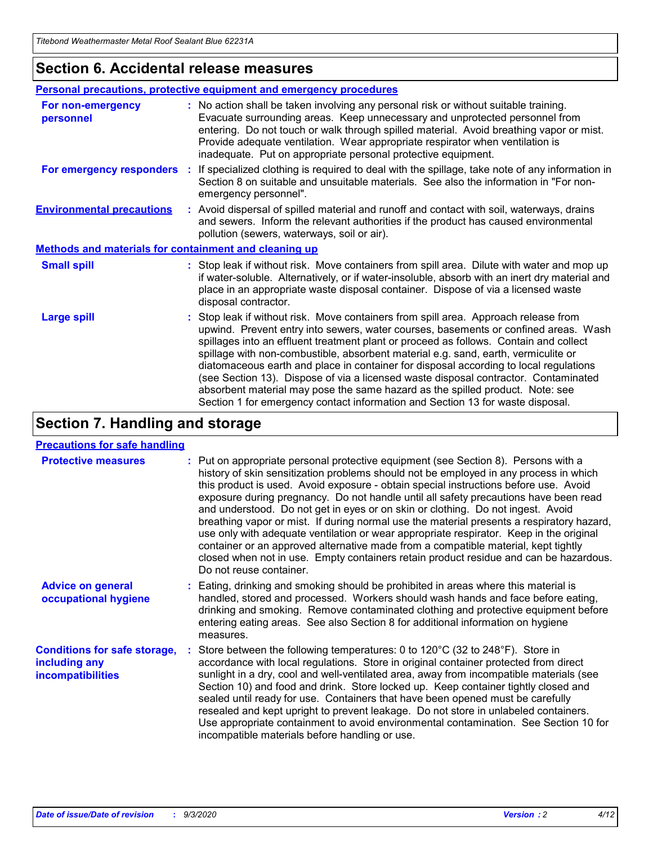### **Section 6. Accidental release measures**

|                                                              | Personal precautions, protective equipment and emergency procedures                                                                                                                                                                                                                                                                                                                                                                                                                                                                                                                                                                                                                                          |  |  |  |
|--------------------------------------------------------------|--------------------------------------------------------------------------------------------------------------------------------------------------------------------------------------------------------------------------------------------------------------------------------------------------------------------------------------------------------------------------------------------------------------------------------------------------------------------------------------------------------------------------------------------------------------------------------------------------------------------------------------------------------------------------------------------------------------|--|--|--|
| For non-emergency<br>personnel                               | : No action shall be taken involving any personal risk or without suitable training.<br>Evacuate surrounding areas. Keep unnecessary and unprotected personnel from<br>entering. Do not touch or walk through spilled material. Avoid breathing vapor or mist.<br>Provide adequate ventilation. Wear appropriate respirator when ventilation is<br>inadequate. Put on appropriate personal protective equipment.                                                                                                                                                                                                                                                                                             |  |  |  |
| For emergency responders                                     | : If specialized clothing is required to deal with the spillage, take note of any information in<br>Section 8 on suitable and unsuitable materials. See also the information in "For non-<br>emergency personnel".                                                                                                                                                                                                                                                                                                                                                                                                                                                                                           |  |  |  |
| <b>Environmental precautions</b>                             | : Avoid dispersal of spilled material and runoff and contact with soil, waterways, drains<br>and sewers. Inform the relevant authorities if the product has caused environmental<br>pollution (sewers, waterways, soil or air).                                                                                                                                                                                                                                                                                                                                                                                                                                                                              |  |  |  |
| <b>Methods and materials for containment and cleaning up</b> |                                                                                                                                                                                                                                                                                                                                                                                                                                                                                                                                                                                                                                                                                                              |  |  |  |
| <b>Small spill</b>                                           | : Stop leak if without risk. Move containers from spill area. Dilute with water and mop up<br>if water-soluble. Alternatively, or if water-insoluble, absorb with an inert dry material and<br>place in an appropriate waste disposal container. Dispose of via a licensed waste<br>disposal contractor.                                                                                                                                                                                                                                                                                                                                                                                                     |  |  |  |
| <b>Large spill</b>                                           | : Stop leak if without risk. Move containers from spill area. Approach release from<br>upwind. Prevent entry into sewers, water courses, basements or confined areas. Wash<br>spillages into an effluent treatment plant or proceed as follows. Contain and collect<br>spillage with non-combustible, absorbent material e.g. sand, earth, vermiculite or<br>diatomaceous earth and place in container for disposal according to local regulations<br>(see Section 13). Dispose of via a licensed waste disposal contractor. Contaminated<br>absorbent material may pose the same hazard as the spilled product. Note: see<br>Section 1 for emergency contact information and Section 13 for waste disposal. |  |  |  |

## **Section 7. Handling and storage**

#### **Precautions for safe handling**

| <b>Protective measures</b>                                                       | : Put on appropriate personal protective equipment (see Section 8). Persons with a<br>history of skin sensitization problems should not be employed in any process in which<br>this product is used. Avoid exposure - obtain special instructions before use. Avoid<br>exposure during pregnancy. Do not handle until all safety precautions have been read<br>and understood. Do not get in eyes or on skin or clothing. Do not ingest. Avoid<br>breathing vapor or mist. If during normal use the material presents a respiratory hazard,<br>use only with adequate ventilation or wear appropriate respirator. Keep in the original<br>container or an approved alternative made from a compatible material, kept tightly<br>closed when not in use. Empty containers retain product residue and can be hazardous.<br>Do not reuse container. |
|----------------------------------------------------------------------------------|--------------------------------------------------------------------------------------------------------------------------------------------------------------------------------------------------------------------------------------------------------------------------------------------------------------------------------------------------------------------------------------------------------------------------------------------------------------------------------------------------------------------------------------------------------------------------------------------------------------------------------------------------------------------------------------------------------------------------------------------------------------------------------------------------------------------------------------------------|
| <b>Advice on general</b><br>occupational hygiene                                 | : Eating, drinking and smoking should be prohibited in areas where this material is<br>handled, stored and processed. Workers should wash hands and face before eating,<br>drinking and smoking. Remove contaminated clothing and protective equipment before<br>entering eating areas. See also Section 8 for additional information on hygiene<br>measures.                                                                                                                                                                                                                                                                                                                                                                                                                                                                                    |
| <b>Conditions for safe storage,</b><br>including any<br><i>incompatibilities</i> | Store between the following temperatures: 0 to 120°C (32 to 248°F). Store in<br>accordance with local regulations. Store in original container protected from direct<br>sunlight in a dry, cool and well-ventilated area, away from incompatible materials (see<br>Section 10) and food and drink. Store locked up. Keep container tightly closed and<br>sealed until ready for use. Containers that have been opened must be carefully<br>resealed and kept upright to prevent leakage. Do not store in unlabeled containers.<br>Use appropriate containment to avoid environmental contamination. See Section 10 for<br>incompatible materials before handling or use.                                                                                                                                                                         |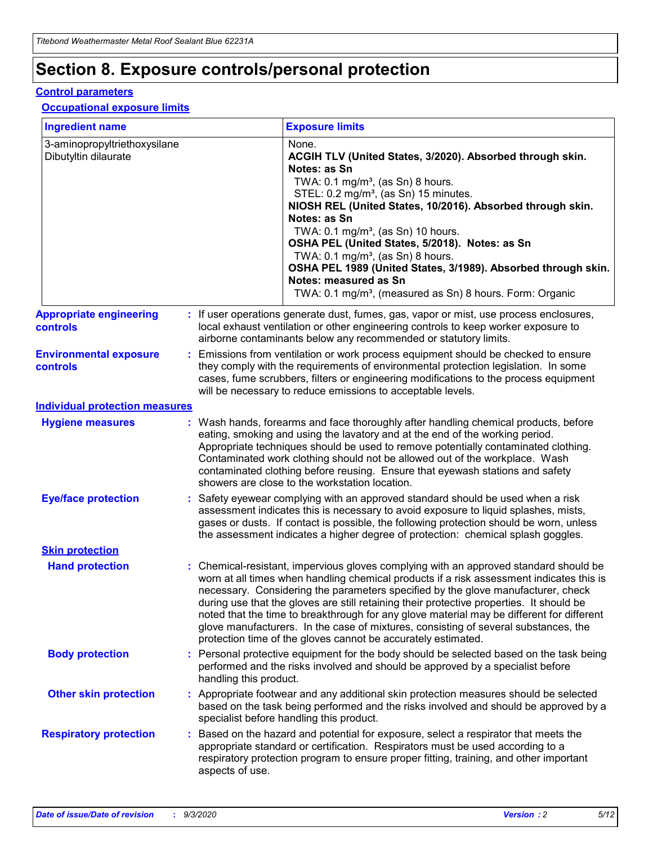## **Section 8. Exposure controls/personal protection**

#### **Control parameters**

#### **Occupational exposure limits**

| <b>Ingredient name</b>                               |    |                        | <b>Exposure limits</b>                                                                                                                                                                                                                                                                                                                                                                                                                                                                                                                                                                                                 |
|------------------------------------------------------|----|------------------------|------------------------------------------------------------------------------------------------------------------------------------------------------------------------------------------------------------------------------------------------------------------------------------------------------------------------------------------------------------------------------------------------------------------------------------------------------------------------------------------------------------------------------------------------------------------------------------------------------------------------|
| 3-aminopropyltriethoxysilane<br>Dibutyltin dilaurate |    |                        | None.<br>ACGIH TLV (United States, 3/2020). Absorbed through skin.<br>Notes: as Sn<br>TWA: $0.1 \text{ mg/m}^3$ , (as Sn) 8 hours.<br>STEL: 0.2 mg/m <sup>3</sup> , (as Sn) 15 minutes.<br>NIOSH REL (United States, 10/2016). Absorbed through skin.<br>Notes: as Sn<br>TWA: 0.1 mg/m <sup>3</sup> , (as Sn) 10 hours.<br>OSHA PEL (United States, 5/2018). Notes: as Sn<br>TWA: 0.1 mg/m <sup>3</sup> , (as Sn) 8 hours.<br>OSHA PEL 1989 (United States, 3/1989). Absorbed through skin.<br>Notes: measured as Sn<br>TWA: 0.1 mg/m <sup>3</sup> , (measured as Sn) 8 hours. Form: Organic                           |
| <b>Appropriate engineering</b><br>controls           |    |                        | : If user operations generate dust, fumes, gas, vapor or mist, use process enclosures,<br>local exhaust ventilation or other engineering controls to keep worker exposure to<br>airborne contaminants below any recommended or statutory limits.                                                                                                                                                                                                                                                                                                                                                                       |
| <b>Environmental exposure</b><br>controls            |    |                        | Emissions from ventilation or work process equipment should be checked to ensure<br>they comply with the requirements of environmental protection legislation. In some<br>cases, fume scrubbers, filters or engineering modifications to the process equipment<br>will be necessary to reduce emissions to acceptable levels.                                                                                                                                                                                                                                                                                          |
| <b>Individual protection measures</b>                |    |                        |                                                                                                                                                                                                                                                                                                                                                                                                                                                                                                                                                                                                                        |
| <b>Hygiene measures</b>                              |    |                        | : Wash hands, forearms and face thoroughly after handling chemical products, before<br>eating, smoking and using the lavatory and at the end of the working period.<br>Appropriate techniques should be used to remove potentially contaminated clothing.<br>Contaminated work clothing should not be allowed out of the workplace. Wash<br>contaminated clothing before reusing. Ensure that eyewash stations and safety<br>showers are close to the workstation location.                                                                                                                                            |
| <b>Eye/face protection</b>                           |    |                        | Safety eyewear complying with an approved standard should be used when a risk<br>assessment indicates this is necessary to avoid exposure to liquid splashes, mists,<br>gases or dusts. If contact is possible, the following protection should be worn, unless<br>the assessment indicates a higher degree of protection: chemical splash goggles.                                                                                                                                                                                                                                                                    |
| <b>Skin protection</b>                               |    |                        |                                                                                                                                                                                                                                                                                                                                                                                                                                                                                                                                                                                                                        |
| <b>Hand protection</b>                               |    |                        | : Chemical-resistant, impervious gloves complying with an approved standard should be<br>worn at all times when handling chemical products if a risk assessment indicates this is<br>necessary. Considering the parameters specified by the glove manufacturer, check<br>during use that the gloves are still retaining their protective properties. It should be<br>noted that the time to breakthrough for any glove material may be different for different<br>glove manufacturers. In the case of mixtures, consisting of several substances, the<br>protection time of the gloves cannot be accurately estimated. |
| <b>Body protection</b>                               |    | handling this product. | Personal protective equipment for the body should be selected based on the task being<br>performed and the risks involved and should be approved by a specialist before                                                                                                                                                                                                                                                                                                                                                                                                                                                |
| <b>Other skin protection</b>                         |    |                        | : Appropriate footwear and any additional skin protection measures should be selected<br>based on the task being performed and the risks involved and should be approved by a<br>specialist before handling this product.                                                                                                                                                                                                                                                                                                                                                                                              |
| <b>Respiratory protection</b>                        | ÷. | aspects of use.        | Based on the hazard and potential for exposure, select a respirator that meets the<br>appropriate standard or certification. Respirators must be used according to a<br>respiratory protection program to ensure proper fitting, training, and other important                                                                                                                                                                                                                                                                                                                                                         |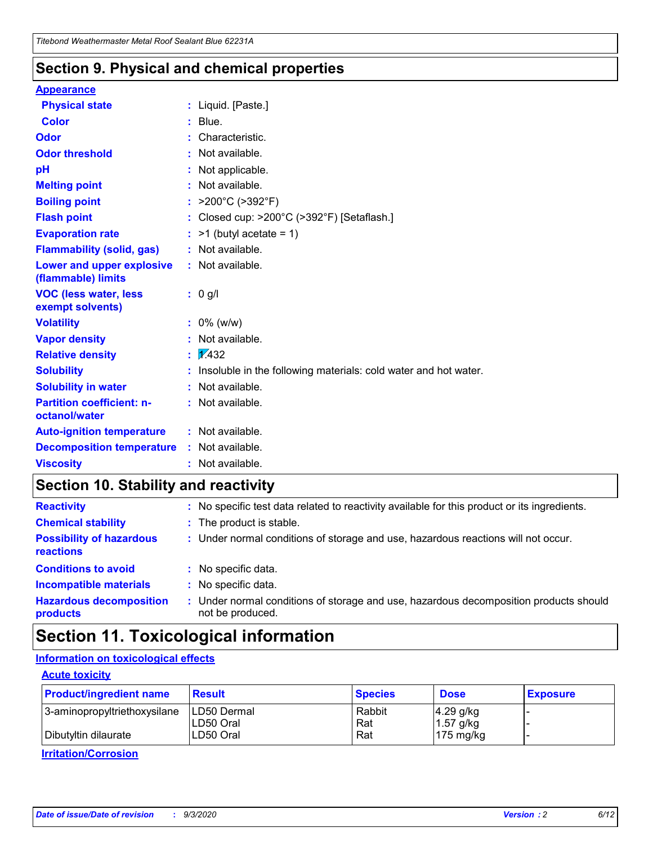### **Section 9. Physical and chemical properties**

#### **Appearance**

| <b>Physical state</b>                             |   | : Liquid. [Paste.]                                              |
|---------------------------------------------------|---|-----------------------------------------------------------------|
| <b>Color</b>                                      |   | Blue.                                                           |
| Odor                                              |   | Characteristic.                                                 |
| <b>Odor threshold</b>                             | ÷ | Not available.                                                  |
| рH                                                |   | Not applicable.                                                 |
| <b>Melting point</b>                              |   | : Not available.                                                |
| <b>Boiling point</b>                              |   | >200°C (>392°F)                                                 |
| <b>Flash point</b>                                |   | Closed cup: >200°C (>392°F) [Setaflash.]                        |
| <b>Evaporation rate</b>                           |   | $:$ >1 (butyl acetate = 1)                                      |
| <b>Flammability (solid, gas)</b>                  |   | : Not available.                                                |
| Lower and upper explosive<br>(flammable) limits   |   | : Not available.                                                |
| <b>VOC (less water, less)</b><br>exempt solvents) |   | : 0 g/l                                                         |
| <b>Volatility</b>                                 |   | $: 0\%$ (w/w)                                                   |
| <b>Vapor density</b>                              |   | Not available.                                                  |
| <b>Relative density</b>                           |   | $\mathbf{1}$ $\mathbf{\sqrt{432}}$                              |
| <b>Solubility</b>                                 |   | Insoluble in the following materials: cold water and hot water. |
| <b>Solubility in water</b>                        |   | Not available.                                                  |
| <b>Partition coefficient: n-</b><br>octanol/water |   | $:$ Not available.                                              |
| <b>Auto-ignition temperature</b>                  |   | : Not available.                                                |
| <b>Decomposition temperature</b>                  |   | : Not available.                                                |
| <b>Viscosity</b>                                  |   | $:$ Not available.                                              |

## **Section 10. Stability and reactivity**

| <b>Reactivity</b>                            |    | : No specific test data related to reactivity available for this product or its ingredients.            |
|----------------------------------------------|----|---------------------------------------------------------------------------------------------------------|
| <b>Chemical stability</b>                    |    | : The product is stable.                                                                                |
| <b>Possibility of hazardous</b><br>reactions |    | : Under normal conditions of storage and use, hazardous reactions will not occur.                       |
| <b>Conditions to avoid</b>                   |    | : No specific data.                                                                                     |
| <b>Incompatible materials</b>                | ٠. | No specific data.                                                                                       |
| <b>Hazardous decomposition</b><br>products   | ÷. | Under normal conditions of storage and use, hazardous decomposition products should<br>not be produced. |

## **Section 11. Toxicological information**

#### **Information on toxicological effects**

#### **Acute toxicity**

| <b>Product/ingredient name</b> | <b>Result</b>           | <b>Species</b> | <b>Dose</b>                | <b>Exposure</b> |
|--------------------------------|-------------------------|----------------|----------------------------|-----------------|
| 3-aminopropyltriethoxysilane   | <b>ILD50 Dermal</b>     | Rabbit         | 4.29 g/kg                  |                 |
| Dibutyltin dilaurate           | ILD50 Oral<br>LD50 Oral | Rat<br>Rat     | $1.57$ g/kg<br>175 $mg/kg$ |                 |
|                                |                         |                |                            |                 |

**Irritation/Corrosion**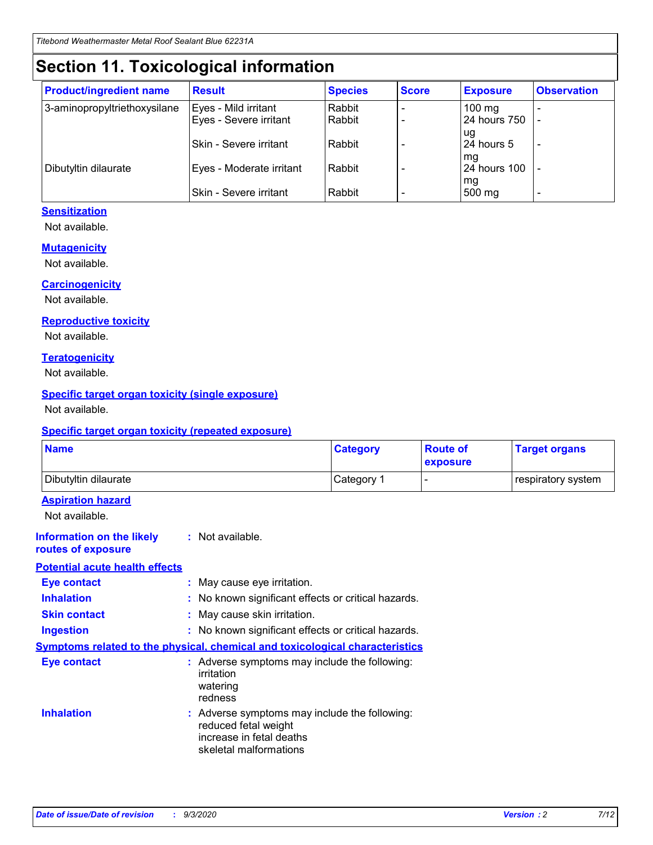## **Section 11. Toxicological information**

| <b>Product/ingredient name</b> | <b>Result</b>                 | <b>Species</b> | <b>Score</b> | <b>Exposure</b>           | <b>Observation</b> |
|--------------------------------|-------------------------------|----------------|--------------|---------------------------|--------------------|
| 3-aminopropyltriethoxysilane   | Eyes - Mild irritant          | Rabbit         |              | $100$ mg                  |                    |
|                                | Eyes - Severe irritant        | Rabbit         |              | 24 hours 750              |                    |
|                                |                               |                |              | ug                        |                    |
|                                | <b>Skin - Severe irritant</b> | Rabbit         |              | 24 hours 5                | ۰                  |
| Dibutyltin dilaurate           | Eyes - Moderate irritant      | Rabbit         |              | mq<br><b>24 hours 100</b> |                    |
|                                |                               |                |              | mg                        |                    |
|                                | Skin - Severe irritant        | Rabbit         |              | 500 mg                    |                    |

#### **Sensitization**

Not available.

#### **Mutagenicity**

Not available.

#### **Carcinogenicity**

Not available.

#### **Reproductive toxicity**

Not available.

#### **Teratogenicity**

Not available.

#### **Specific target organ toxicity (single exposure)**

Not available.

#### **Specific target organ toxicity (repeated exposure)**

| <b>Name</b>                                                                         |                                                                            | <b>Category</b>                                     | <b>Route of</b><br>exposure | <b>Target organs</b> |  |  |
|-------------------------------------------------------------------------------------|----------------------------------------------------------------------------|-----------------------------------------------------|-----------------------------|----------------------|--|--|
| Dibutyltin dilaurate                                                                |                                                                            | Category 1                                          |                             | respiratory system   |  |  |
| <b>Aspiration hazard</b><br>Not available.                                          |                                                                            |                                                     |                             |                      |  |  |
| <b>Information on the likely</b><br>routes of exposure                              | : Not available.                                                           |                                                     |                             |                      |  |  |
| <b>Potential acute health effects</b>                                               |                                                                            |                                                     |                             |                      |  |  |
| <b>Eye contact</b>                                                                  | : May cause eye irritation.                                                |                                                     |                             |                      |  |  |
| <b>Inhalation</b>                                                                   |                                                                            | : No known significant effects or critical hazards. |                             |                      |  |  |
| <b>Skin contact</b>                                                                 |                                                                            | : May cause skin irritation.                        |                             |                      |  |  |
| <b>Ingestion</b>                                                                    |                                                                            | : No known significant effects or critical hazards. |                             |                      |  |  |
| <b>Symptoms related to the physical, chemical and toxicological characteristics</b> |                                                                            |                                                     |                             |                      |  |  |
| <b>Eye contact</b>                                                                  | irritation<br>watering<br>redness                                          | : Adverse symptoms may include the following:       |                             |                      |  |  |
| <b>Inhalation</b>                                                                   | reduced fetal weight<br>increase in fetal deaths<br>skeletal malformations | : Adverse symptoms may include the following:       |                             |                      |  |  |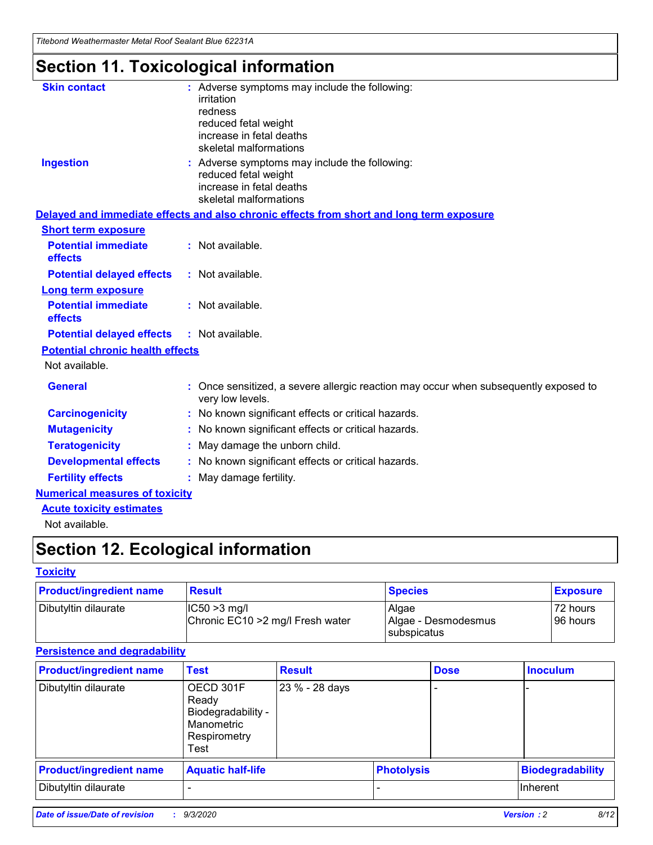*Titebond Weathermaster Metal Roof Sealant Blue 62231A*

## **Section 11. Toxicological information**

| <b>Skin contact</b>                     | : Adverse symptoms may include the following:<br>irritation                                            |
|-----------------------------------------|--------------------------------------------------------------------------------------------------------|
|                                         | redness                                                                                                |
|                                         | reduced fetal weight                                                                                   |
|                                         | increase in fetal deaths                                                                               |
|                                         | skeletal malformations                                                                                 |
| <b>Ingestion</b>                        | : Adverse symptoms may include the following:<br>reduced fetal weight                                  |
|                                         | increase in fetal deaths                                                                               |
|                                         | skeletal malformations                                                                                 |
|                                         | Delayed and immediate effects and also chronic effects from short and long term exposure               |
| <b>Short term exposure</b>              |                                                                                                        |
| <b>Potential immediate</b><br>effects   | : Not available.                                                                                       |
| <b>Potential delayed effects</b>        | : Not available.                                                                                       |
| <b>Long term exposure</b>               |                                                                                                        |
| <b>Potential immediate</b><br>effects   | : Not available.                                                                                       |
| <b>Potential delayed effects</b>        | : Not available.                                                                                       |
| <b>Potential chronic health effects</b> |                                                                                                        |
| Not available.                          |                                                                                                        |
| <b>General</b>                          | Once sensitized, a severe allergic reaction may occur when subsequently exposed to<br>very low levels. |
| <b>Carcinogenicity</b>                  | No known significant effects or critical hazards.                                                      |
| <b>Mutagenicity</b>                     | : No known significant effects or critical hazards.                                                    |
| <b>Teratogenicity</b>                   | May damage the unborn child.                                                                           |
| <b>Developmental effects</b>            | : No known significant effects or critical hazards.                                                    |
| <b>Fertility effects</b>                | : May damage fertility.                                                                                |
| <b>Numerical measures of toxicity</b>   |                                                                                                        |
| <b>Acute toxicity estimates</b>         |                                                                                                        |
| Not ovoilable                           |                                                                                                        |

Not available.

## **Section 12. Ecological information**

#### **Toxicity**

| <b>Product/ingredient name</b> | <b>Result</b>                                       | <b>Species</b>               | <b>Exposure</b>       |
|--------------------------------|-----------------------------------------------------|------------------------------|-----------------------|
| Dibutyltin dilaurate           | $ CC50>3$ mg/l<br>Chronic EC10 > 2 mg/l Fresh water | Algae<br>Algae - Desmodesmus | 72 hours<br>196 hours |
|                                |                                                     | <b>I</b> subspicatus         |                       |

#### **Persistence and degradability**

| <b>Product/ingredient name</b> | <b>Test</b>                                                                    | <b>Result</b>  |                   | <b>Dose</b> | <b>Inoculum</b>         |
|--------------------------------|--------------------------------------------------------------------------------|----------------|-------------------|-------------|-------------------------|
| Dibutyltin dilaurate           | OECD 301F<br>Ready<br>Biodegradability -<br>Manometric<br>Respirometry<br>Test | 23 % - 28 days |                   |             |                         |
| <b>Product/ingredient name</b> | <b>Aquatic half-life</b>                                                       |                | <b>Photolysis</b> |             | <b>Biodegradability</b> |
| Dibutyltin dilaurate           |                                                                                |                |                   |             | <b>Inherent</b>         |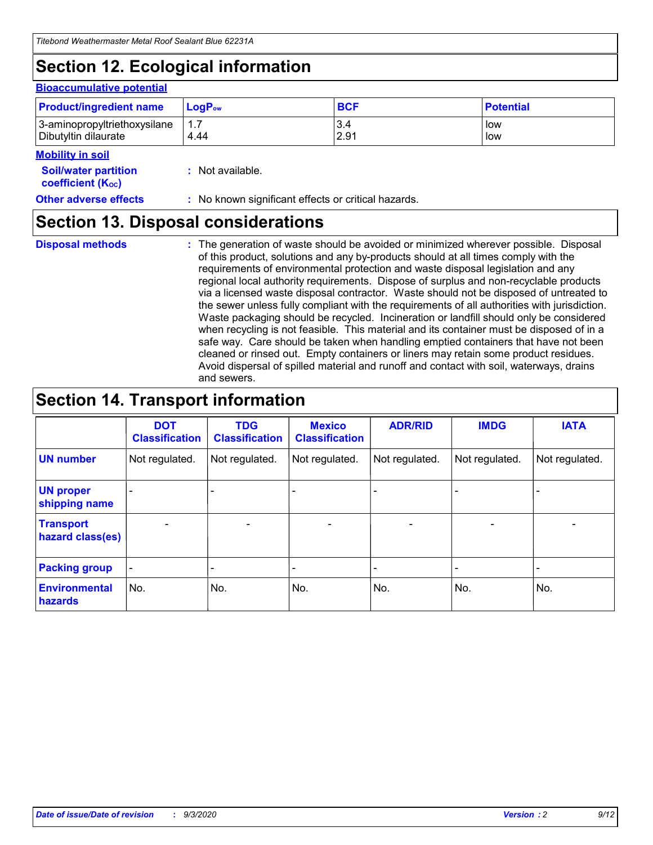## **Section 12. Ecological information**

#### **Bioaccumulative potential**

| <b>Product/ingredient name</b> | $\mathsf{LogP}_\mathsf{ow}$ | <b>BCF</b> | <b>Potential</b> |
|--------------------------------|-----------------------------|------------|------------------|
| 3-aminopropyltriethoxysilane   | $1.\overline{7}$            | 3.4        | low              |
| Dibutyltin dilaurate           | 4.44                        | 2.91       | low              |

#### **Mobility in soil**

| IVIUWIIILY III JUII                                     |                                                     |
|---------------------------------------------------------|-----------------------------------------------------|
| <b>Soil/water partition</b><br><b>coefficient (Koc)</b> | : Not available.                                    |
| <b>Other adverse effects</b>                            | : No known significant effects or critical hazards. |

### **Section 13. Disposal considerations**

**Disposal methods :**

The generation of waste should be avoided or minimized wherever possible. Disposal of this product, solutions and any by-products should at all times comply with the requirements of environmental protection and waste disposal legislation and any regional local authority requirements. Dispose of surplus and non-recyclable products via a licensed waste disposal contractor. Waste should not be disposed of untreated to the sewer unless fully compliant with the requirements of all authorities with jurisdiction. Waste packaging should be recycled. Incineration or landfill should only be considered when recycling is not feasible. This material and its container must be disposed of in a safe way. Care should be taken when handling emptied containers that have not been cleaned or rinsed out. Empty containers or liners may retain some product residues. Avoid dispersal of spilled material and runoff and contact with soil, waterways, drains and sewers.

## **Section 14. Transport information**

|                                      | <b>DOT</b><br><b>Classification</b> | <b>TDG</b><br><b>Classification</b> | <b>Mexico</b><br><b>Classification</b> | <b>ADR/RID</b>           | <b>IMDG</b>              | <b>IATA</b>    |
|--------------------------------------|-------------------------------------|-------------------------------------|----------------------------------------|--------------------------|--------------------------|----------------|
| <b>UN number</b>                     | Not regulated.                      | Not regulated.                      | Not regulated.                         | Not regulated.           | Not regulated.           | Not regulated. |
| <b>UN proper</b><br>shipping name    |                                     |                                     |                                        |                          |                          |                |
| <b>Transport</b><br>hazard class(es) |                                     | $\overline{\phantom{0}}$            | $\qquad \qquad \blacksquare$           | $\overline{\phantom{0}}$ | $\overline{\phantom{0}}$ |                |
| <b>Packing group</b>                 |                                     |                                     |                                        |                          |                          |                |
| <b>Environmental</b><br>hazards      | No.                                 | No.                                 | No.                                    | No.                      | No.                      | No.            |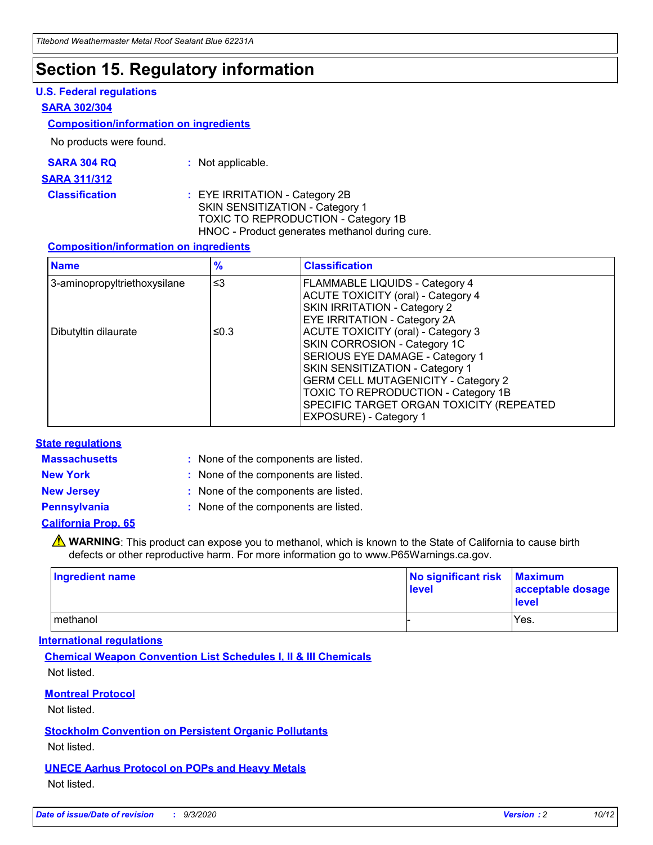## **Section 15. Regulatory information**

#### **U.S. Federal regulations**

#### **SARA 302/304**

#### **Composition/information on ingredients**

No products were found.

| SARA 304 RQ | Not applicable. |
|-------------|-----------------|
|-------------|-----------------|

#### **SARA 311/312**

#### **Classification :** EYE IRRITATION - Category 2B SKIN SENSITIZATION - Category 1 TOXIC TO REPRODUCTION - Category 1B HNOC - Product generates methanol during cure.

#### **Composition/information on ingredients**

| <b>Name</b>                  | $\frac{9}{6}$ | <b>Classification</b>                                                                                                                                                                                                                                                                                      |
|------------------------------|---------------|------------------------------------------------------------------------------------------------------------------------------------------------------------------------------------------------------------------------------------------------------------------------------------------------------------|
| 3-aminopropyltriethoxysilane | $\leq$ 3      | <b>FLAMMABLE LIQUIDS - Category 4</b><br><b>ACUTE TOXICITY (oral) - Category 4</b><br><b>SKIN IRRITATION - Category 2</b><br>EYE IRRITATION - Category 2A                                                                                                                                                  |
| Dibutyltin dilaurate         | ≤0.3          | <b>ACUTE TOXICITY (oral) - Category 3</b><br>SKIN CORROSION - Category 1C<br>SERIOUS EYE DAMAGE - Category 1<br>SKIN SENSITIZATION - Category 1<br><b>GERM CELL MUTAGENICITY - Category 2</b><br>TOXIC TO REPRODUCTION - Category 1B<br>SPECIFIC TARGET ORGAN TOXICITY (REPEATED<br>EXPOSURE) - Category 1 |

#### **State regulations**

**Massachusetts :**

: None of the components are listed.

**New York :** None of the components are listed. **New Jersey :** None of the components are listed.

**Pennsylvania :** None of the components are listed.

#### **California Prop. 65**

WARNING: This product can expose you to methanol, which is known to the State of California to cause birth defects or other reproductive harm. For more information go to www.P65Warnings.ca.gov.

| Ingredient name | No significant risk<br>level | <b>Maximum</b><br>acceptable dosage<br><b>level</b> |
|-----------------|------------------------------|-----------------------------------------------------|
| methanol        |                              | Yes.                                                |

#### **International regulations**

**Chemical Weapon Convention List Schedules I, II & III Chemicals** Not listed.

#### **Montreal Protocol**

Not listed.

**Stockholm Convention on Persistent Organic Pollutants**

Not listed.

#### **UNECE Aarhus Protocol on POPs and Heavy Metals** Not listed.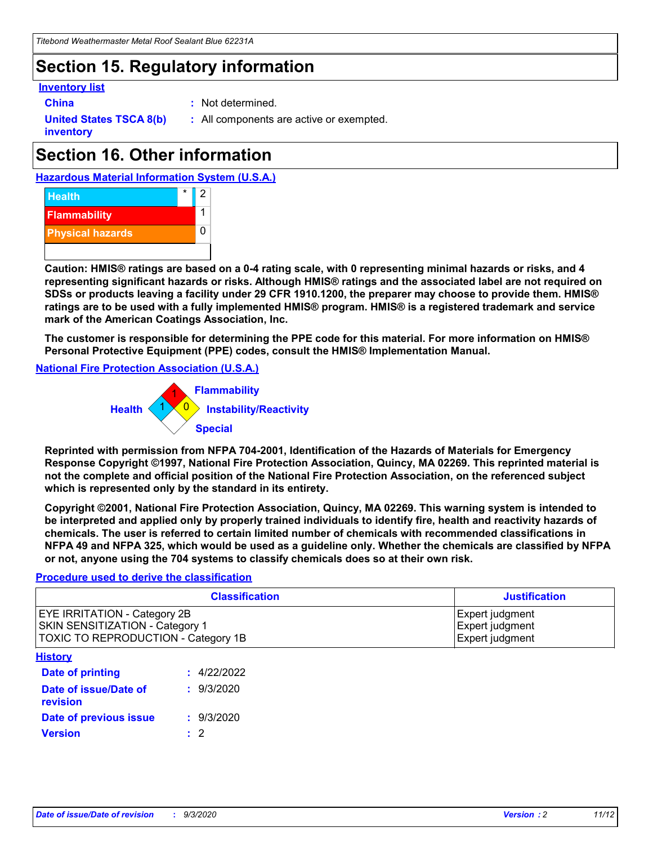## **Section 15. Regulatory information**

#### **Inventory list**

- 
- **China :** Not determined.

**United States TSCA 8(b) inventory**

**:** All components are active or exempted.

## **Section 16. Other information**





**Caution: HMIS® ratings are based on a 0-4 rating scale, with 0 representing minimal hazards or risks, and 4 representing significant hazards or risks. Although HMIS® ratings and the associated label are not required on SDSs or products leaving a facility under 29 CFR 1910.1200, the preparer may choose to provide them. HMIS® ratings are to be used with a fully implemented HMIS® program. HMIS® is a registered trademark and service mark of the American Coatings Association, Inc.**

**The customer is responsible for determining the PPE code for this material. For more information on HMIS® Personal Protective Equipment (PPE) codes, consult the HMIS® Implementation Manual.**

**National Fire Protection Association (U.S.A.)**



**Reprinted with permission from NFPA 704-2001, Identification of the Hazards of Materials for Emergency Response Copyright ©1997, National Fire Protection Association, Quincy, MA 02269. This reprinted material is not the complete and official position of the National Fire Protection Association, on the referenced subject which is represented only by the standard in its entirety.**

**Copyright ©2001, National Fire Protection Association, Quincy, MA 02269. This warning system is intended to be interpreted and applied only by properly trained individuals to identify fire, health and reactivity hazards of chemicals. The user is referred to certain limited number of chemicals with recommended classifications in NFPA 49 and NFPA 325, which would be used as a guideline only. Whether the chemicals are classified by NFPA or not, anyone using the 704 systems to classify chemicals does so at their own risk.**

#### **Procedure used to derive the classification**

| <b>Classification</b>                                                                                         | <b>Justification</b>                                  |
|---------------------------------------------------------------------------------------------------------------|-------------------------------------------------------|
| <b>EYE IRRITATION - Category 2B</b><br>SKIN SENSITIZATION - Category 1<br>TOXIC TO REPRODUCTION - Category 1B | Expert judgment<br>Expert judgment<br>Expert judgment |
| <b>History</b>                                                                                                |                                                       |

| .                                 |             |
|-----------------------------------|-------------|
| <b>Date of printing</b>           | : 4/22/2022 |
| Date of issue/Date of<br>revision | : 9/3/2020  |
| Date of previous issue            | : 9/3/2020  |
| <b>Version</b>                    | $\cdot$ 2   |
|                                   |             |